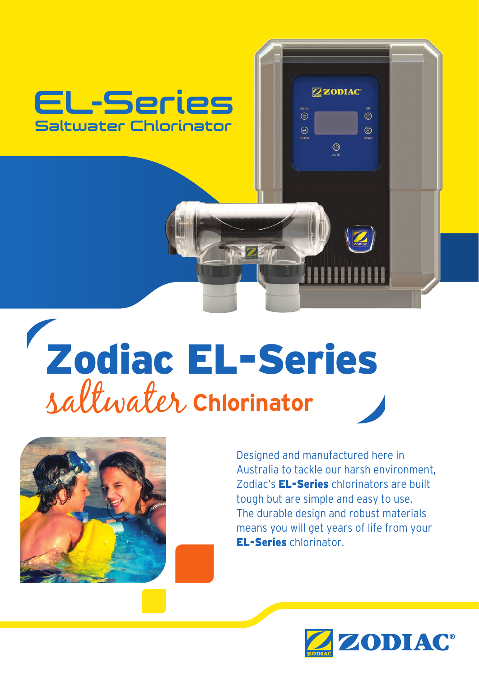

# saltwater **Chlorinator** Zodiac EL-Series



Designed and manufactured here in Australia to tackle our harsh environment, Zodiac's **EL-Series** chlorinators are built tough but are simple and easy to use. The durable design and robust materials means you will get years of life from your EL-Series chlorinator.

ZZODIAC<sup>®</sup>

 $\circledcirc$ 

 $\circledcirc$ 

 $\circledcirc$ 

 $\circledcirc$ 

 $\odot$